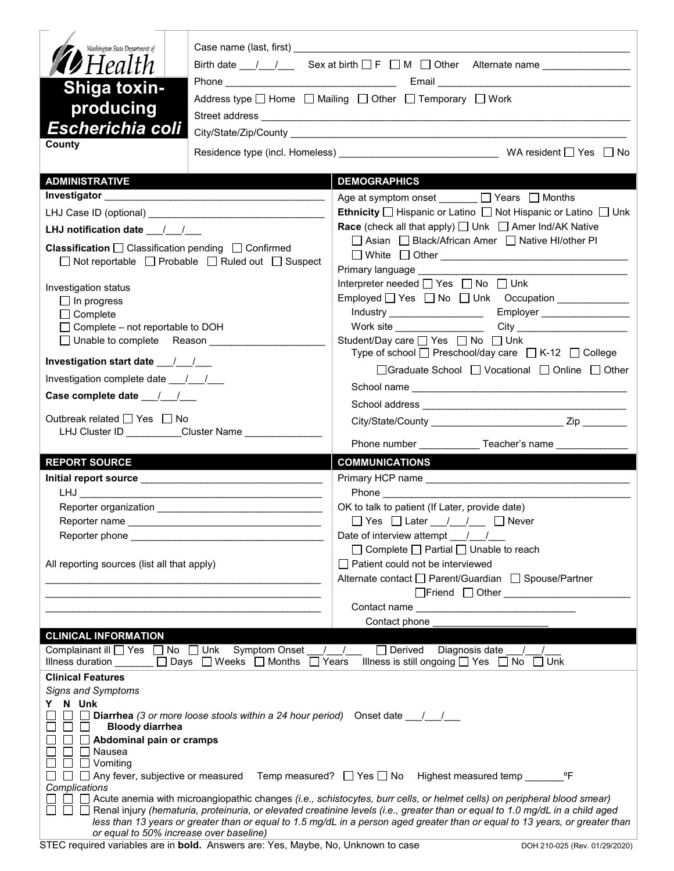| Washington State Department of<br><b>D</b> Health<br><b>Shiga toxin-</b><br>producing<br><b>Escherichia coli</b><br>County                                                                                                                                                                                                                                                                              | Address type $\Box$ Home $\Box$ Mailing $\Box$ Other $\Box$ Temporary $\Box$ Work                                                                                                                                                    |  |  |  |  |
|---------------------------------------------------------------------------------------------------------------------------------------------------------------------------------------------------------------------------------------------------------------------------------------------------------------------------------------------------------------------------------------------------------|--------------------------------------------------------------------------------------------------------------------------------------------------------------------------------------------------------------------------------------|--|--|--|--|
| <b>ADMINISTRATIVE</b>                                                                                                                                                                                                                                                                                                                                                                                   | <b>DEMOGRAPHICS</b>                                                                                                                                                                                                                  |  |  |  |  |
|                                                                                                                                                                                                                                                                                                                                                                                                         | Age at symptom onset ______ □ Years □ Months                                                                                                                                                                                         |  |  |  |  |
|                                                                                                                                                                                                                                                                                                                                                                                                         | <b>Ethnicity</b> $\Box$ Hispanic or Latino $\Box$ Not Hispanic or Latino $\Box$ Unk                                                                                                                                                  |  |  |  |  |
| LHJ notification date __/_/__                                                                                                                                                                                                                                                                                                                                                                           | <b>Race</b> (check all that apply) $\Box$ Unk $\Box$ Amer Ind/AK Native                                                                                                                                                              |  |  |  |  |
|                                                                                                                                                                                                                                                                                                                                                                                                         | □ Asian □ Black/African Amer □ Native HI/other PI                                                                                                                                                                                    |  |  |  |  |
| Classification □ Classification pending □ Confirmed<br>□ Not reportable □ Probable □ Ruled out □ Suspect                                                                                                                                                                                                                                                                                                |                                                                                                                                                                                                                                      |  |  |  |  |
|                                                                                                                                                                                                                                                                                                                                                                                                         |                                                                                                                                                                                                                                      |  |  |  |  |
| Investigation status                                                                                                                                                                                                                                                                                                                                                                                    | Interpreter needed [ Yes   No   Unk                                                                                                                                                                                                  |  |  |  |  |
| $\Box$ In progress                                                                                                                                                                                                                                                                                                                                                                                      | Employed Yes No Unk Occupation                                                                                                                                                                                                       |  |  |  |  |
| $\Box$ Complete                                                                                                                                                                                                                                                                                                                                                                                         | Employer __________________<br>Industry _____________________                                                                                                                                                                        |  |  |  |  |
| $\Box$ Complete – not reportable to DOH                                                                                                                                                                                                                                                                                                                                                                 |                                                                                                                                                                                                                                      |  |  |  |  |
| □ Unable to complete Reason                                                                                                                                                                                                                                                                                                                                                                             | Student/Day care <u>Sines</u> Yes <b>Solution</b> Only Unk                                                                                                                                                                           |  |  |  |  |
|                                                                                                                                                                                                                                                                                                                                                                                                         | Type of school □ Preschool/day care □ K-12 □ College                                                                                                                                                                                 |  |  |  |  |
| Investigation complete date 11                                                                                                                                                                                                                                                                                                                                                                          | □Graduate School □ Vocational □ Online □ Other                                                                                                                                                                                       |  |  |  |  |
| Case complete date __/_/__/___                                                                                                                                                                                                                                                                                                                                                                          |                                                                                                                                                                                                                                      |  |  |  |  |
|                                                                                                                                                                                                                                                                                                                                                                                                         |                                                                                                                                                                                                                                      |  |  |  |  |
| Outbreak related □ Yes □ No                                                                                                                                                                                                                                                                                                                                                                             |                                                                                                                                                                                                                                      |  |  |  |  |
| LHJ Cluster ID _________Cluster Name _____________                                                                                                                                                                                                                                                                                                                                                      | Phone number _____________Teacher's name _____________                                                                                                                                                                               |  |  |  |  |
| <b>REPORT SOURCE</b>                                                                                                                                                                                                                                                                                                                                                                                    | <b>COMMUNICATIONS</b>                                                                                                                                                                                                                |  |  |  |  |
|                                                                                                                                                                                                                                                                                                                                                                                                         |                                                                                                                                                                                                                                      |  |  |  |  |
|                                                                                                                                                                                                                                                                                                                                                                                                         | Phone <b>Contract Contract Contract Contract Contract Contract Contract Contract Contract Contract Contract Contract Contract Contract Contract Contract Contract Contract Contract Contract Contract Contract Contract Contract</b> |  |  |  |  |
|                                                                                                                                                                                                                                                                                                                                                                                                         | OK to talk to patient (If Later, provide date)                                                                                                                                                                                       |  |  |  |  |
|                                                                                                                                                                                                                                                                                                                                                                                                         | $\Box$ Yes $\Box$ Later $\Box$ / $\Box$ Never                                                                                                                                                                                        |  |  |  |  |
|                                                                                                                                                                                                                                                                                                                                                                                                         |                                                                                                                                                                                                                                      |  |  |  |  |
|                                                                                                                                                                                                                                                                                                                                                                                                         | $\Box$ Complete $\Box$ Partial $\Box$ Unable to reach                                                                                                                                                                                |  |  |  |  |
| All reporting sources (list all that apply)                                                                                                                                                                                                                                                                                                                                                             | Patient could not be interviewed                                                                                                                                                                                                     |  |  |  |  |
| <u> 1980 - Johann John Stone, mars eta bainar eta baina eta erromana eta erromana eta erromana eta erromana eta e</u>                                                                                                                                                                                                                                                                                   | Alternate contact<br>□ Parent/Guardian<br>□ Spouse/Partner                                                                                                                                                                           |  |  |  |  |
|                                                                                                                                                                                                                                                                                                                                                                                                         |                                                                                                                                                                                                                                      |  |  |  |  |
|                                                                                                                                                                                                                                                                                                                                                                                                         |                                                                                                                                                                                                                                      |  |  |  |  |
| <b>CLINICAL INFORMATION</b>                                                                                                                                                                                                                                                                                                                                                                             | Contact phone ___                                                                                                                                                                                                                    |  |  |  |  |
| Complainant ill $\Box$ Yes $\Box$ No $\Box$ Unk Symptom Onset / / $\Box$ Derived Diagnosis date /<br>Illness duration $\Box$ Days $\Box$ Weeks $\Box$ Months $\Box$ Years Illness is still ongoing $\Box$ Yes $\Box$ No $\Box$ Unk                                                                                                                                                                      |                                                                                                                                                                                                                                      |  |  |  |  |
| <b>Clinical Features</b>                                                                                                                                                                                                                                                                                                                                                                                |                                                                                                                                                                                                                                      |  |  |  |  |
| <b>Signs and Symptoms</b>                                                                                                                                                                                                                                                                                                                                                                               |                                                                                                                                                                                                                                      |  |  |  |  |
| N Unk<br>Y.<br><b>Diarrhea</b> (3 or more loose stools within a 24 hour period) Onset date $\frac{1}{\sqrt{2}}$<br>$\Box$ $\Box$<br><b>Bloody diarrhea</b><br>$\Box$ Abdominal pain or cramps<br>$\Box$ Nausea<br>$\Box$ $\Box$ Vomiting<br>Ш<br>Complications<br>$\Box$ $\Box$ Acute anemia with microangiopathic changes (i.e., schistocytes, burr cells, or helmet cells) on peripheral blood smear) |                                                                                                                                                                                                                                      |  |  |  |  |
| □ □ Benal injury (hematuria, proteinuria, or elevated creatinine levels (i.e., greater than or equal to 1.0 mg/dL in a child aged<br>less than 13 years or greater than or equal to 1.5 mg/dL in a person aged greater than or equal to 13 years, or greater than<br>or equal to 50% increase over baseline)                                                                                            |                                                                                                                                                                                                                                      |  |  |  |  |

STEC required variables are in **bold.** Answers are: Yes, Maybe, No, Unknown to case DOH 210-025 (Rev. 01/29/2020)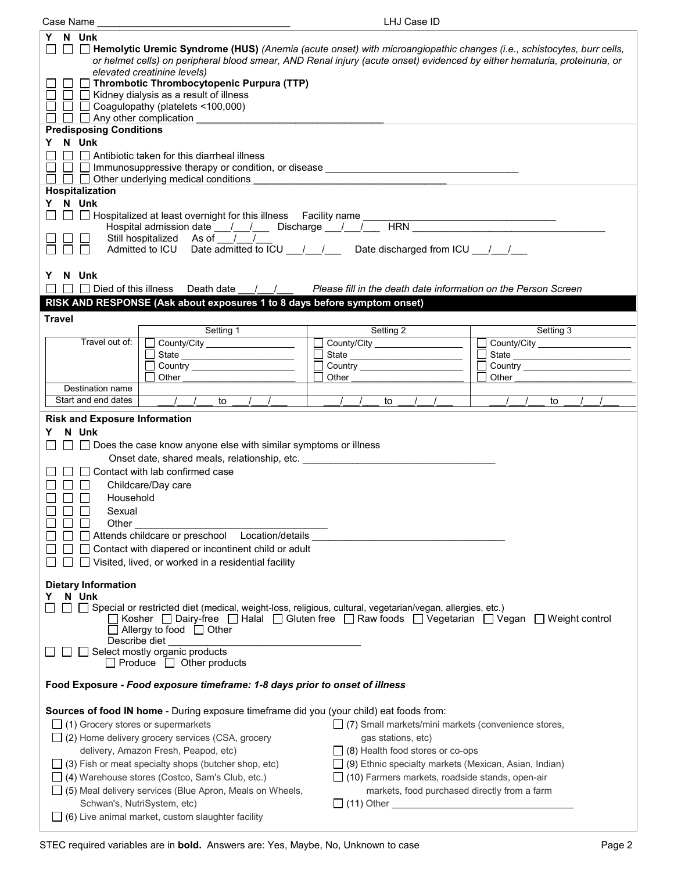| LHJ Case ID<br>Case Name                                                                                                                                                                                                                                                                                                                                                                                                                                                                                                                                                                                                                                                                                                                                                                                                     |                                                                |                                                         |  |  |  |
|------------------------------------------------------------------------------------------------------------------------------------------------------------------------------------------------------------------------------------------------------------------------------------------------------------------------------------------------------------------------------------------------------------------------------------------------------------------------------------------------------------------------------------------------------------------------------------------------------------------------------------------------------------------------------------------------------------------------------------------------------------------------------------------------------------------------------|----------------------------------------------------------------|---------------------------------------------------------|--|--|--|
| Y N Unk<br>□ Hemolytic Uremic Syndrome (HUS) (Anemia (acute onset) with microangiopathic changes (i.e., schistocytes, burr cells,<br>$\Box$<br>or helmet cells) on peripheral blood smear, AND Renal injury (acute onset) evidenced by either hematuria, proteinuria, or<br>elevated creatinine levels)<br>$\Box$ Thrombotic Thrombocytopenic Purpura (TTP)<br>$\Box$ $\Box$ Kidney dialysis as a result of illness<br>ΙI<br>$\Box$ $\Box$ Coagulopathy (platelets <100,000)<br>$\Box$ Any other complication<br><b>Predisposing Conditions</b><br>Y N Unk<br>$\Box$ Antibiotic taken for this diarrheal illness<br>$\mathsf{L}$<br>$\Box$ $\Box$ Other underlying medical conditions<br>Hospitalization<br>Y N Unk                                                                                                          |                                                                |                                                         |  |  |  |
| □ □ Hospitalized at least overnight for this illness Facility name<br>$\blacksquare$<br>Hospital admission date __/__/___ Discharge __/__/__                                                                                                                                                                                                                                                                                                                                                                                                                                                                                                                                                                                                                                                                                 | HRN <b>HRN</b>                                                 | <u> 1989 - Johann John Hermann, francuski filozof (</u> |  |  |  |
| Still hospitalized As of / /                                                                                                                                                                                                                                                                                                                                                                                                                                                                                                                                                                                                                                                                                                                                                                                                 |                                                                |                                                         |  |  |  |
| Admitted to ICU Date admitted to ICU / / Date discharged from ICU / /                                                                                                                                                                                                                                                                                                                                                                                                                                                                                                                                                                                                                                                                                                                                                        |                                                                |                                                         |  |  |  |
| N Unk<br>Y.<br>$\Box$ Died of this illness Death date<br>$\sqrt{2}$<br>$\blacksquare$<br>RISK AND RESPONSE (Ask about exposures 1 to 8 days before symptom onset)                                                                                                                                                                                                                                                                                                                                                                                                                                                                                                                                                                                                                                                            | Please fill in the death date information on the Person Screen |                                                         |  |  |  |
| <b>Travel</b>                                                                                                                                                                                                                                                                                                                                                                                                                                                                                                                                                                                                                                                                                                                                                                                                                |                                                                |                                                         |  |  |  |
| Setting 1                                                                                                                                                                                                                                                                                                                                                                                                                                                                                                                                                                                                                                                                                                                                                                                                                    | Setting 2                                                      | Setting 3                                               |  |  |  |
| Travel out of:<br>County/City _______________________<br>$\perp$                                                                                                                                                                                                                                                                                                                                                                                                                                                                                                                                                                                                                                                                                                                                                             | County/City ____________________                               | County/City                                             |  |  |  |
|                                                                                                                                                                                                                                                                                                                                                                                                                                                                                                                                                                                                                                                                                                                                                                                                                              |                                                                |                                                         |  |  |  |
| Other                                                                                                                                                                                                                                                                                                                                                                                                                                                                                                                                                                                                                                                                                                                                                                                                                        | Other                                                          | Other                                                   |  |  |  |
| Destination name                                                                                                                                                                                                                                                                                                                                                                                                                                                                                                                                                                                                                                                                                                                                                                                                             |                                                                |                                                         |  |  |  |
| $\begin{array}{cccc} \hline \end{array}$ / / to / /<br>Start and end dates                                                                                                                                                                                                                                                                                                                                                                                                                                                                                                                                                                                                                                                                                                                                                   | to                                                             | to                                                      |  |  |  |
| <b>Risk and Exposure Information</b><br>Y N Unk<br>$\Box$ Does the case know anyone else with similar symptoms or illness<br>ΙI<br>Onset date, shared meals, relationship, etc. ___________________________________<br>$\Box$ Contact with lab confirmed case<br>$\Box$<br>Childcare/Day care<br>$\Box$<br>Household<br>$\Box$<br>$\Box$ $\Box$<br>Sexual<br>П<br>Other<br>Attends childcare or preschool    Location/details<br>$\Box$ Contact with diapered or incontinent child or adult<br>$\Box$ Visited, lived, or worked in a residential facility                                                                                                                                                                                                                                                                    |                                                                |                                                         |  |  |  |
| <b>Dietary Information</b><br>N Unk<br>Y.<br>□ Special or restricted diet (medical, weight-loss, religious, cultural, vegetarian/vegan, allergies, etc.)<br>Kosher $\Box$ Dairy-free $\Box$ Halal $\Box$ Gluten free $\Box$ Raw foods $\Box$ Vegetarian $\Box$ Vegan<br>$\Box$ Weight control<br>∫ Allergy to food □ Other<br>Describe diet<br>Select mostly organic products<br>$\Box$ Produce $\Box$ Other products                                                                                                                                                                                                                                                                                                                                                                                                        |                                                                |                                                         |  |  |  |
| Food Exposure - Food exposure timeframe: 1-8 days prior to onset of illness                                                                                                                                                                                                                                                                                                                                                                                                                                                                                                                                                                                                                                                                                                                                                  |                                                                |                                                         |  |  |  |
| Sources of food IN home - During exposure timeframe did you (your child) eat foods from:<br>$\Box$ (1) Grocery stores or supermarkets<br>(7) Small markets/mini markets (convenience stores,<br>$\Box$ (2) Home delivery grocery services (CSA, grocery<br>gas stations, etc)<br>delivery, Amazon Fresh, Peapod, etc)<br>$\Box$ (8) Health food stores or co-ops<br>$\Box$ (9) Ethnic specialty markets (Mexican, Asian, Indian)<br>$\Box$ (3) Fish or meat specialty shops (butcher shop, etc)<br>□ (4) Warehouse stores (Costco, Sam's Club, etc.)<br>$\Box$ (10) Farmers markets, roadside stands, open-air<br>markets, food purchased directly from a farm<br>$\Box$ (5) Meal delivery services (Blue Apron, Meals on Wheels,<br>Schwan's, NutriSystem, etc)<br>$\Box$ (6) Live animal market, custom slaughter facility |                                                                |                                                         |  |  |  |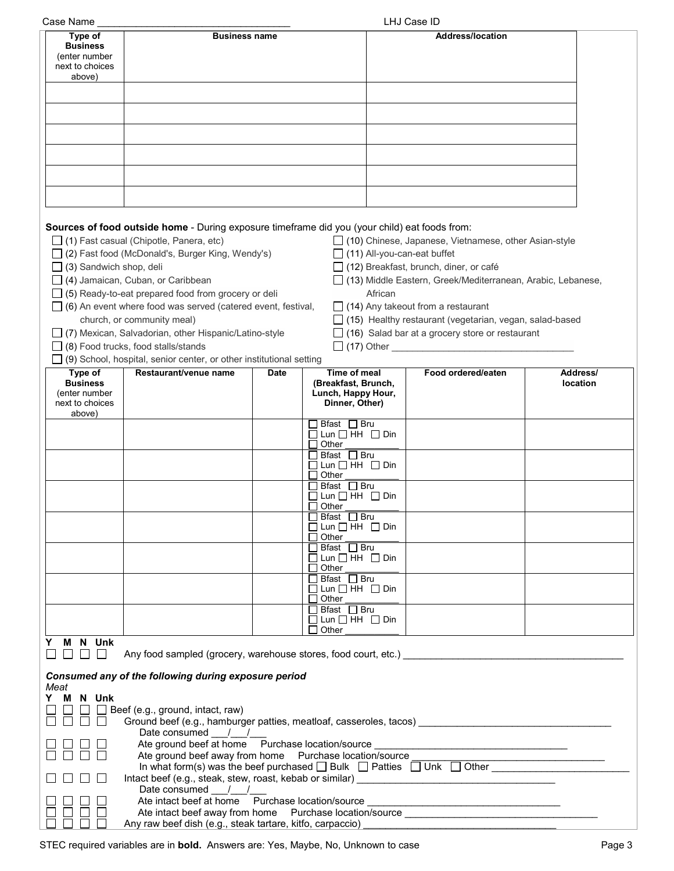| Case Name                      |                                                                                                       |                                         |         | LHJ Case ID                                                                      |          |
|--------------------------------|-------------------------------------------------------------------------------------------------------|-----------------------------------------|---------|----------------------------------------------------------------------------------|----------|
| Type of                        | <b>Business name</b>                                                                                  |                                         |         | <b>Address/location</b>                                                          |          |
| <b>Business</b>                |                                                                                                       |                                         |         |                                                                                  |          |
| (enter number                  |                                                                                                       |                                         |         |                                                                                  |          |
| next to choices                |                                                                                                       |                                         |         |                                                                                  |          |
| above)                         |                                                                                                       |                                         |         |                                                                                  |          |
|                                |                                                                                                       |                                         |         |                                                                                  |          |
|                                |                                                                                                       |                                         |         |                                                                                  |          |
|                                |                                                                                                       |                                         |         |                                                                                  |          |
|                                |                                                                                                       |                                         |         |                                                                                  |          |
|                                |                                                                                                       |                                         |         |                                                                                  |          |
|                                |                                                                                                       |                                         |         |                                                                                  |          |
|                                |                                                                                                       |                                         |         |                                                                                  |          |
|                                |                                                                                                       |                                         |         |                                                                                  |          |
|                                |                                                                                                       |                                         |         |                                                                                  |          |
|                                |                                                                                                       |                                         |         |                                                                                  |          |
|                                |                                                                                                       |                                         |         |                                                                                  |          |
|                                |                                                                                                       |                                         |         |                                                                                  |          |
|                                |                                                                                                       |                                         |         |                                                                                  |          |
|                                | Sources of food outside home - During exposure timeframe did you (your child) eat foods from:         |                                         |         |                                                                                  |          |
|                                | $\Box$ (1) Fast casual (Chipotle, Panera, etc)                                                        |                                         |         | □ (10) Chinese, Japanese, Vietnamese, other Asian-style                          |          |
|                                | $\Box$ (2) Fast food (McDonald's, Burger King, Wendy's)                                               |                                         |         | $\Box$ (11) All-you-can-eat buffet                                               |          |
| $\Box$ (3) Sandwich shop, deli |                                                                                                       |                                         |         | $\Box$ (12) Breakfast, brunch, diner, or café                                    |          |
|                                |                                                                                                       |                                         |         |                                                                                  |          |
|                                | $\Box$ (4) Jamaican, Cuban, or Caribbean                                                              |                                         |         | □ (13) Middle Eastern, Greek/Mediterranean, Arabic, Lebanese,                    |          |
|                                | $\Box$ (5) Ready-to-eat prepared food from grocery or deli                                            |                                         | African |                                                                                  |          |
|                                | $\Box$ (6) An event where food was served (catered event, festival,                                   |                                         |         | $\Box$ (14) Any takeout from a restaurant                                        |          |
|                                | church, or community meal)                                                                            |                                         |         | $\Box$ (15) Healthy restaurant (vegetarian, vegan, salad-based                   |          |
|                                | □ (7) Mexican, Salvadorian, other Hispanic/Latino-style                                               |                                         |         | $\Box$ (16) Salad bar at a grocery store or restaurant                           |          |
|                                | $\Box$ (8) Food trucks, food stalls/stands                                                            |                                         |         |                                                                                  |          |
|                                |                                                                                                       |                                         |         |                                                                                  |          |
|                                | $\Box$ (9) School, hospital, senior center, or other institutional setting                            |                                         |         |                                                                                  |          |
| Type of                        | Restaurant/venue name                                                                                 | Time of meal<br><b>Date</b>             |         | Food ordered/eaten                                                               | Address/ |
| <b>Business</b>                |                                                                                                       | (Breakfast, Brunch,                     |         |                                                                                  | location |
| (enter number                  |                                                                                                       | Lunch, Happy Hour,                      |         |                                                                                  |          |
| next to choices                |                                                                                                       | Dinner, Other)                          |         |                                                                                  |          |
| above)                         |                                                                                                       | Bfast $\Box$ Bru                        |         |                                                                                  |          |
|                                |                                                                                                       | $\Box$ Lun $\Box$ HH $\Box$ Din         |         |                                                                                  |          |
|                                |                                                                                                       | Other                                   |         |                                                                                  |          |
|                                |                                                                                                       | Bfast □ Bru                             |         |                                                                                  |          |
|                                |                                                                                                       | $\Box$ Lun $\Box$ HH $\Box$ Din         |         |                                                                                  |          |
|                                |                                                                                                       | Other                                   |         |                                                                                  |          |
|                                |                                                                                                       | $\Box$ Bfast $\Box$ Bru                 |         |                                                                                  |          |
|                                |                                                                                                       | $\Box$ Lun $\Box$ HH $\Box$ Din         |         |                                                                                  |          |
|                                |                                                                                                       | $\Box$ Other                            |         |                                                                                  |          |
|                                |                                                                                                       | Bfast □ Bru                             |         |                                                                                  |          |
|                                |                                                                                                       | $\Box$ Lun $\Box$ HH $\Box$ Din         |         |                                                                                  |          |
|                                |                                                                                                       | Other                                   |         |                                                                                  |          |
|                                |                                                                                                       | $\Box$ Bfast $\Box$ Bru                 |         |                                                                                  |          |
|                                |                                                                                                       | $\Box$ Lun $\Box$ HH $\Box$ Din         |         |                                                                                  |          |
|                                |                                                                                                       | $\Box$ Other<br>$\Box$ Bfast $\Box$ Bru |         |                                                                                  |          |
|                                |                                                                                                       | $\Box$ Lun $\Box$ HH $\Box$ Din         |         |                                                                                  |          |
|                                |                                                                                                       | $\Box$ Other                            |         |                                                                                  |          |
|                                |                                                                                                       | $\Box$ Bfast $\Box$ Bru                 |         |                                                                                  |          |
|                                |                                                                                                       | $\Box$ Lun $\Box$ HH $\Box$ Din         |         |                                                                                  |          |
|                                |                                                                                                       | $\Box$ Other                            |         |                                                                                  |          |
| Y M N Unk                      |                                                                                                       |                                         |         |                                                                                  |          |
| 8888                           | Any food sampled (grocery, warehouse stores, food court, etc.)                                        |                                         |         |                                                                                  |          |
|                                |                                                                                                       |                                         |         |                                                                                  |          |
|                                | Consumed any of the following during exposure period                                                  |                                         |         |                                                                                  |          |
| Meat                           |                                                                                                       |                                         |         |                                                                                  |          |
| Y M N Unk                      |                                                                                                       |                                         |         |                                                                                  |          |
|                                | $\Box$ Beef (e.g., ground, intact, raw)                                                               |                                         |         |                                                                                  |          |
| $\mathbf{1}$                   | Ground beef (e.g., hamburger patties, meatloaf, casseroles, tacos) ________________________________   |                                         |         |                                                                                  |          |
|                                | Date consumed $\frac{1}{\sqrt{2}}$                                                                    |                                         |         |                                                                                  |          |
|                                | Ate ground beef at home Purchase location/source _______________________________                      |                                         |         |                                                                                  |          |
|                                |                                                                                                       |                                         |         |                                                                                  |          |
|                                | Ate ground beef away from home  Purchase location/source                                              |                                         |         |                                                                                  |          |
|                                | In what form(s) was the beef purchased $\square$ Bulk $\square$ Patties $\square$ Unk $\square$ Other |                                         |         |                                                                                  |          |
|                                |                                                                                                       |                                         |         |                                                                                  |          |
|                                | Date consumed / /                                                                                     |                                         |         |                                                                                  |          |
|                                |                                                                                                       |                                         |         | Ate intact beef at home Purchase location/source _______________________________ |          |
|                                |                                                                                                       |                                         |         |                                                                                  |          |
|                                | Any raw beef dish (e.g., steak tartare, kitfo, carpaccio)                                             |                                         |         |                                                                                  |          |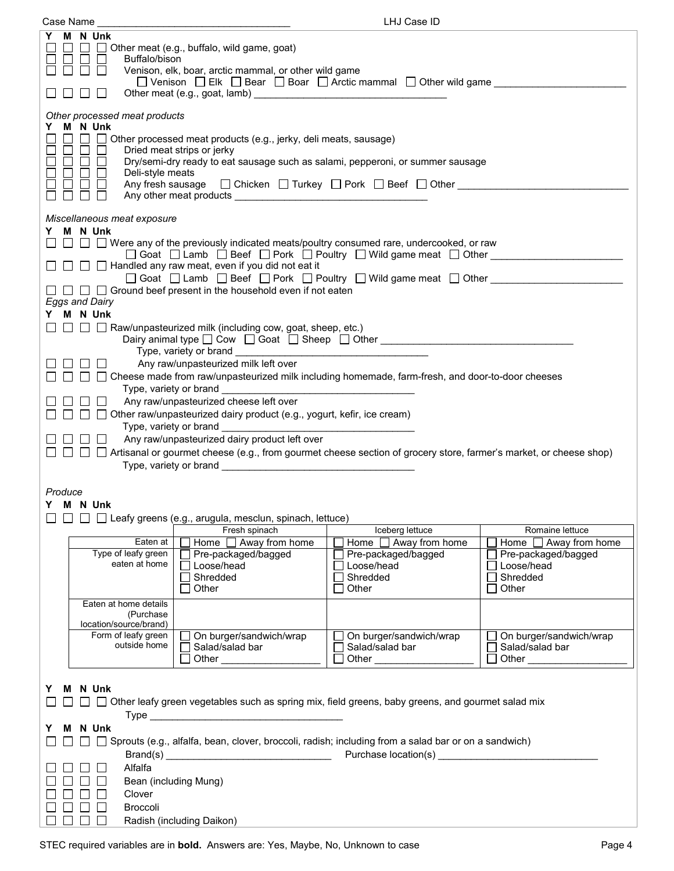| Case Name                                                                                                                                                                                                                                                                                                                                                                                                                                                                                                                                                                                                                                                                                                                                                                                                                                           |                                                                                        | LHJ Case ID                                                                            |                                                                                  |  |
|-----------------------------------------------------------------------------------------------------------------------------------------------------------------------------------------------------------------------------------------------------------------------------------------------------------------------------------------------------------------------------------------------------------------------------------------------------------------------------------------------------------------------------------------------------------------------------------------------------------------------------------------------------------------------------------------------------------------------------------------------------------------------------------------------------------------------------------------------------|----------------------------------------------------------------------------------------|----------------------------------------------------------------------------------------|----------------------------------------------------------------------------------|--|
| Y M N Unk<br>Other meat (e.g., buffalo, wild game, goat)<br>$\mathbf{1}$<br>$\perp$<br>Buffalo/bison<br>Venison, elk, boar, arctic mammal, or other wild game<br>□ Venison □ Elk □ Bear □ Boar □ Arctic mammal □ Other wild game<br>$\mathcal{L}$                                                                                                                                                                                                                                                                                                                                                                                                                                                                                                                                                                                                   |                                                                                        |                                                                                        |                                                                                  |  |
| Other processed meat products<br>Y M N Unk<br>$\Box$<br>Other processed meat products (e.g., jerky, deli meats, sausage)<br>$\perp$<br>$\Box$<br>$\overline{\phantom{a}}$<br>Dried meat strips or jerky<br>Dry/semi-dry ready to eat sausage such as salami, pepperoni, or summer sausage<br>$\Box$ $\Box$<br>$\Box$<br>Deli-style meats<br>Any fresh sausage $\Box$ Chicken $\Box$ Turkey $\Box$ Pork $\Box$ Beef $\Box$ Other $\Box$                                                                                                                                                                                                                                                                                                                                                                                                              |                                                                                        |                                                                                        |                                                                                  |  |
| Miscellaneous meat exposure<br>M N Unk<br>Y.<br>$\Box$ $\Box$ Were any of the previously indicated meats/poultry consumed rare, undercooked, or raw<br>□ Goat □ Lamb □ Beef □ Pork □ Poultry □ Wild game meat □ Other ________________<br>$\Box$ $\Box$ Handled any raw meat, even if you did not eat it<br>$\Box$ Goat $\Box$ Lamb $\Box$ Beef $\Box$ Pork $\Box$ Poultry $\Box$ Wild game meat $\Box$ Other<br>$\Box$ $\Box$ $\Box$ Ground beef present in the household even if not eaten<br><b>Eggs and Dairy</b><br>Y M N Unk<br>$\Box$ $\Box$ Raw/unpasteurized milk (including cow, goat, sheep, etc.)<br>Dairy animal type □ Cow □ Goat □ Sheep □ Other <u>__________________________</u><br>Any raw/unpasteurized milk left over<br>□ □ □ Cheese made from raw/unpasteurized milk including homemade, farm-fresh, and door-to-door cheeses |                                                                                        |                                                                                        |                                                                                  |  |
| Any raw/unpasteurized cheese left over<br>□ □ Other raw/unpasteurized dairy product (e.g., yogurt, kefir, ice cream)<br>Any raw/unpasteurized dairy product left over<br>$\mathbf{1}$<br>□ □ Artisanal or gourmet cheese (e.g., from gourmet cheese section of grocery store, farmer's market, or cheese shop)<br>П<br>$\Box$<br>Produce                                                                                                                                                                                                                                                                                                                                                                                                                                                                                                            |                                                                                        |                                                                                        |                                                                                  |  |
| Y M N Unk                                                                                                                                                                                                                                                                                                                                                                                                                                                                                                                                                                                                                                                                                                                                                                                                                                           | □ □ Leafy greens (e.g., arugula, mesclun, spinach, lettuce)                            |                                                                                        |                                                                                  |  |
|                                                                                                                                                                                                                                                                                                                                                                                                                                                                                                                                                                                                                                                                                                                                                                                                                                                     | Fresh spinach                                                                          | Iceberg lettuce                                                                        | Romaine lettuce                                                                  |  |
| Eaten at<br>Type of leafy green<br>eaten at home                                                                                                                                                                                                                                                                                                                                                                                                                                                                                                                                                                                                                                                                                                                                                                                                    | Home $\Box$ Away from home<br>Pre-packaged/bagged<br>□ Loose/head<br>Shredded<br>Other | Home $\Box$ Away from home<br>Pre-packaged/bagged<br>□ Loose/head<br>Shredded<br>Other | Home □ Away from home<br>Pre-packaged/bagged<br>□Loose/head<br>Shredded<br>Other |  |
| Eaten at home details<br>(Purchase)                                                                                                                                                                                                                                                                                                                                                                                                                                                                                                                                                                                                                                                                                                                                                                                                                 |                                                                                        |                                                                                        |                                                                                  |  |
| location/source/brand)<br>Form of leafy green<br>outside home                                                                                                                                                                                                                                                                                                                                                                                                                                                                                                                                                                                                                                                                                                                                                                                       | On burger/sandwich/wrap<br>Salad/salad bar                                             | On burger/sandwich/wrap<br>Salad/salad bar                                             | On burger/sandwich/wrap<br>Salad/salad bar<br>$\Box$ Other                       |  |
| M N Unk<br>Y.<br>Other leafy green vegetables such as spring mix, field greens, baby greens, and gourmet salad mix<br>M N Unk<br>Y.                                                                                                                                                                                                                                                                                                                                                                                                                                                                                                                                                                                                                                                                                                                 |                                                                                        |                                                                                        |                                                                                  |  |
| Sprouts (e.g., alfalfa, bean, clover, broccoli, radish; including from a salad bar or on a sandwich)<br>Purchase location(s) National Purchase of the set of the set of the set of the set of the set of the set of the<br>Alfalfa<br>Bean (including Mung)                                                                                                                                                                                                                                                                                                                                                                                                                                                                                                                                                                                         |                                                                                        |                                                                                        |                                                                                  |  |
| Clover<br><b>Broccoli</b>                                                                                                                                                                                                                                                                                                                                                                                                                                                                                                                                                                                                                                                                                                                                                                                                                           | Radish (including Daikon)                                                              |                                                                                        |                                                                                  |  |
|                                                                                                                                                                                                                                                                                                                                                                                                                                                                                                                                                                                                                                                                                                                                                                                                                                                     |                                                                                        |                                                                                        |                                                                                  |  |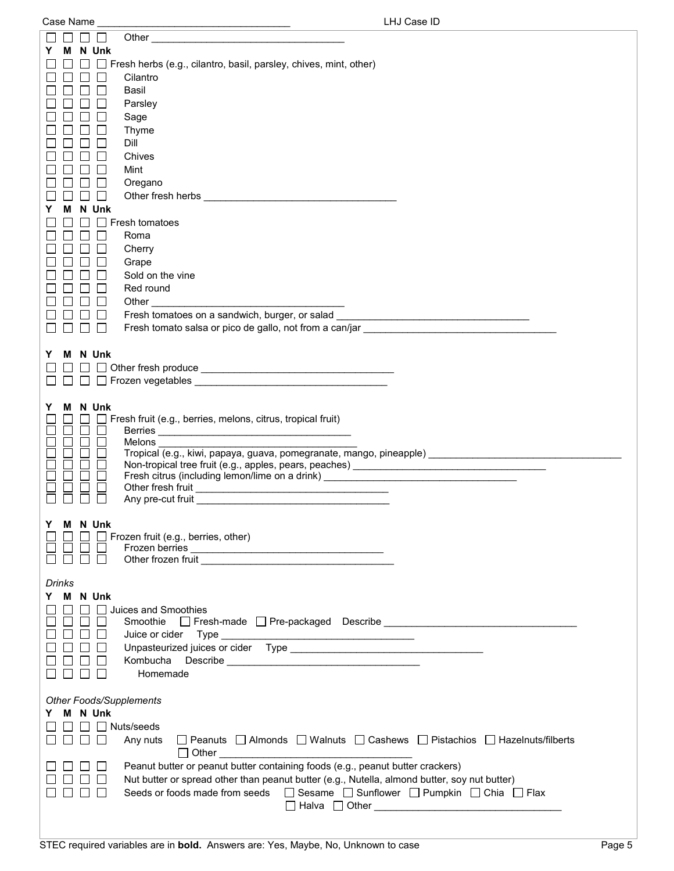|        |   | N Unk          |                                                                                                                                                                                                      |
|--------|---|----------------|------------------------------------------------------------------------------------------------------------------------------------------------------------------------------------------------------|
|        |   |                | $\Box$ Fresh herbs (e.g., cilantro, basil, parsley, chives, mint, other)                                                                                                                             |
|        |   |                | Cilantro                                                                                                                                                                                             |
|        |   |                | Basil                                                                                                                                                                                                |
|        |   |                | Parsley                                                                                                                                                                                              |
|        |   |                | Sage                                                                                                                                                                                                 |
|        |   |                | Thyme                                                                                                                                                                                                |
|        |   |                | Dill                                                                                                                                                                                                 |
|        |   |                | Chives<br>Mint                                                                                                                                                                                       |
|        |   |                | Oregano                                                                                                                                                                                              |
|        |   |                |                                                                                                                                                                                                      |
|        |   | N Unk          |                                                                                                                                                                                                      |
|        |   |                | Fresh tomatoes                                                                                                                                                                                       |
|        |   |                | Roma                                                                                                                                                                                                 |
|        |   |                | Cherry                                                                                                                                                                                               |
|        |   |                | Grape                                                                                                                                                                                                |
|        |   |                | Sold on the vine                                                                                                                                                                                     |
|        |   |                | Red round                                                                                                                                                                                            |
|        |   |                | Other                                                                                                                                                                                                |
|        |   |                | Fresh tomatoes on a sandwich, burger, or salad<br><u> 1989 - Johann John Stone, mensk politik (</u>                                                                                                  |
|        |   |                | Fresh tomato salsa or pico de gallo, not from a can/jar entrante and a series of the sale of the sale                                                                                                |
|        |   |                |                                                                                                                                                                                                      |
| Y      | м | N Unk          |                                                                                                                                                                                                      |
|        |   |                |                                                                                                                                                                                                      |
|        |   |                |                                                                                                                                                                                                      |
|        |   |                |                                                                                                                                                                                                      |
| Y      | м | N Unk          |                                                                                                                                                                                                      |
|        |   |                | Fresh fruit (e.g., berries, melons, citrus, tropical fruit)                                                                                                                                          |
|        |   |                | Melons                                                                                                                                                                                               |
|        |   |                | Tropical (e.g., kiwi, papaya, guava, pomegranate, mango, pineapple) _______________________________                                                                                                  |
|        |   |                | Non-tropical tree fruit (e.g., apples, pears, peaches) _________________________                                                                                                                     |
|        |   |                | Fresh citrus (including lemon/lime on a drink) _________________________________                                                                                                                     |
|        |   |                |                                                                                                                                                                                                      |
|        |   |                |                                                                                                                                                                                                      |
|        |   | Y M N Unk      |                                                                                                                                                                                                      |
|        |   |                | $\Box$ $\Box$ Frozen fruit (e.g., berries, other)                                                                                                                                                    |
|        |   |                |                                                                                                                                                                                                      |
|        |   |                |                                                                                                                                                                                                      |
| Drinks |   |                |                                                                                                                                                                                                      |
| Y.     |   | <b>M</b> N Unk |                                                                                                                                                                                                      |
|        |   |                | Juices and Smoothies                                                                                                                                                                                 |
|        |   |                | Smoothie                                                                                                                                                                                             |
|        |   |                |                                                                                                                                                                                                      |
|        |   |                |                                                                                                                                                                                                      |
|        |   |                |                                                                                                                                                                                                      |
|        |   |                | Homemade                                                                                                                                                                                             |
|        |   |                |                                                                                                                                                                                                      |
|        |   |                | <b>Other Foods/Supplements</b>                                                                                                                                                                       |
| Y.     |   | M N Unk        |                                                                                                                                                                                                      |
|        |   |                | $\Box$ Nuts/seeds                                                                                                                                                                                    |
|        |   |                | □ Peanuts □ Almonds □ Walnuts □ Cashews □ Pistachios □ Hazelnuts/filberts<br>Any nuts                                                                                                                |
|        |   |                | $\Box$ Other $\Box$                                                                                                                                                                                  |
|        |   |                | Peanut butter or peanut butter containing foods (e.g., peanut butter crackers)                                                                                                                       |
|        |   |                | Nut butter or spread other than peanut butter (e.g., Nutella, almond butter, soy nut butter)<br>Seeds or foods made from seeds $\Box$ Sesame $\Box$ Sunflower $\Box$ Pumpkin $\Box$ Chia $\Box$ Flax |
|        |   |                |                                                                                                                                                                                                      |
|        |   |                |                                                                                                                                                                                                      |
|        |   |                |                                                                                                                                                                                                      |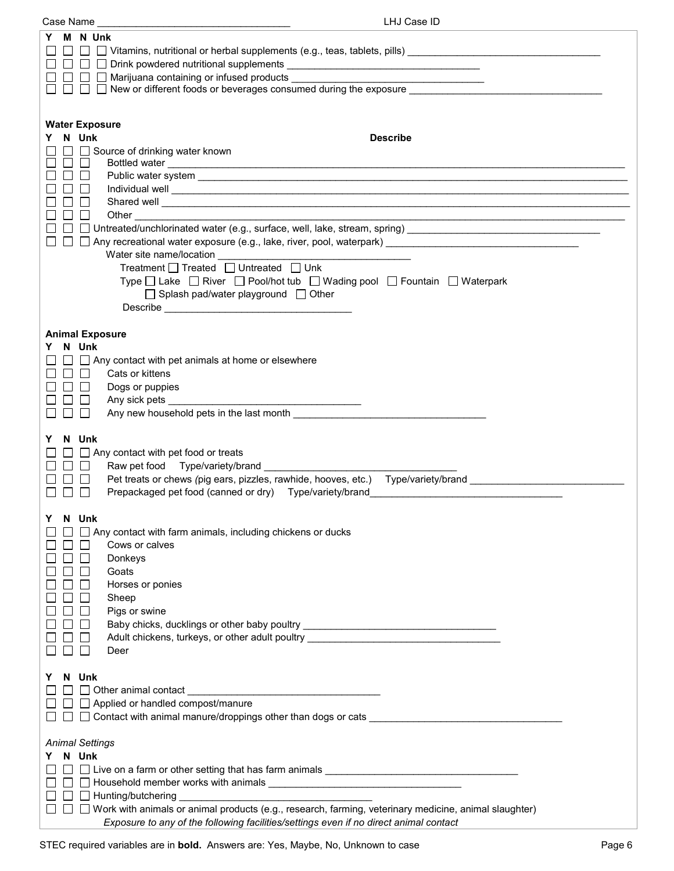| Case Name                        | LHJ Case ID                                                                                                                                                                                                                          |
|----------------------------------|--------------------------------------------------------------------------------------------------------------------------------------------------------------------------------------------------------------------------------------|
| M N Unk<br>Y                     |                                                                                                                                                                                                                                      |
|                                  | $\Box$ New or different foods or beverages consumed during the exposure $\Box$                                                                                                                                                       |
| <b>Water Exposure</b><br>Y N Unk | <b>Describe</b>                                                                                                                                                                                                                      |
|                                  | Source of drinking water known                                                                                                                                                                                                       |
| $\perp$<br>$\Box$                | Bottled water                                                                                                                                                                                                                        |
|                                  | Individual well <b>contract to the contract of the contract of the contract of the contract of the contract of the contract of the contract of the contract of the contract of the contract of the contract of the contract of t</b> |
|                                  | Shared well <b>contract the contract of the contract of the contract of the contract of the contract of the contract of the contract of the contract of the contract of the contract of the contract of the contract of the cont</b> |
| $\perp$                          |                                                                                                                                                                                                                                      |
|                                  | □ Untreated/unchlorinated water (e.g., surface, well, lake, stream, spring) ___________________________________<br>□ □ Any recreational water exposure (e.g., lake, river, pool, waterpark) ________________________________         |
|                                  |                                                                                                                                                                                                                                      |
|                                  | Treatment $\Box$ Treated $\Box$ Untreated $\Box$ Unk                                                                                                                                                                                 |
|                                  | Type □ Lake □ River □ Pool/hot tub □ Wading pool □ Fountain □ Waterpark<br>□ Splash pad/water playground □ Other                                                                                                                     |
|                                  |                                                                                                                                                                                                                                      |
|                                  |                                                                                                                                                                                                                                      |
| <b>Animal Exposure</b>           |                                                                                                                                                                                                                                      |
| N Unk<br>Y.<br>$\Box$            | $\Box$ Any contact with pet animals at home or elsewhere                                                                                                                                                                             |
| $\Box$<br>$\Box$                 | Cats or kittens                                                                                                                                                                                                                      |
|                                  | Dogs or puppies                                                                                                                                                                                                                      |
| $\mathbf{L}$<br>$\mathsf{L}$     | Any new household pets in the last month <b>example 20</b> modes and the last month                                                                                                                                                  |
|                                  |                                                                                                                                                                                                                                      |
| N Unk<br>Y                       |                                                                                                                                                                                                                                      |
|                                  | $\Box$ Any contact with pet food or treats                                                                                                                                                                                           |
| $\Box$<br>$\blacksquare$         | Pet treats or chews (pig ears, pizzles, rawhide, hooves, etc.) Type/variety/brand                                                                                                                                                    |
|                                  | Prepackaged pet food (canned or dry) Type/variety/brand                                                                                                                                                                              |
|                                  |                                                                                                                                                                                                                                      |
| N Unk<br>Y.                      | Any contact with farm animals, including chickens or ducks                                                                                                                                                                           |
|                                  | Cows or calves                                                                                                                                                                                                                       |
|                                  | Donkeys                                                                                                                                                                                                                              |
|                                  | Goats<br>Horses or ponies                                                                                                                                                                                                            |
|                                  | Sheep                                                                                                                                                                                                                                |
|                                  | Pigs or swine                                                                                                                                                                                                                        |
|                                  | Baby chicks, ducklings or other baby poultry ___________________________________                                                                                                                                                     |
|                                  | Adult chickens, turkeys, or other adult poultry<br>Deer                                                                                                                                                                              |
|                                  |                                                                                                                                                                                                                                      |
| N Unk<br>Y.                      |                                                                                                                                                                                                                                      |
|                                  | $\Box$ Applied or handled compost/manure                                                                                                                                                                                             |
|                                  | $\Box$ $\Box$ Contact with animal manure/droppings other than dogs or cats $\Box$                                                                                                                                                    |
|                                  |                                                                                                                                                                                                                                      |
| <b>Animal Settings</b>           |                                                                                                                                                                                                                                      |
| Y N Unk                          |                                                                                                                                                                                                                                      |
|                                  |                                                                                                                                                                                                                                      |
|                                  | $\Box$ Hunting/butchering                                                                                                                                                                                                            |
|                                  | □ □ Work with animals or animal products (e.g., research, farming, veterinary medicine, animal slaughter)                                                                                                                            |
|                                  | Exposure to any of the following facilities/settings even if no direct animal contact                                                                                                                                                |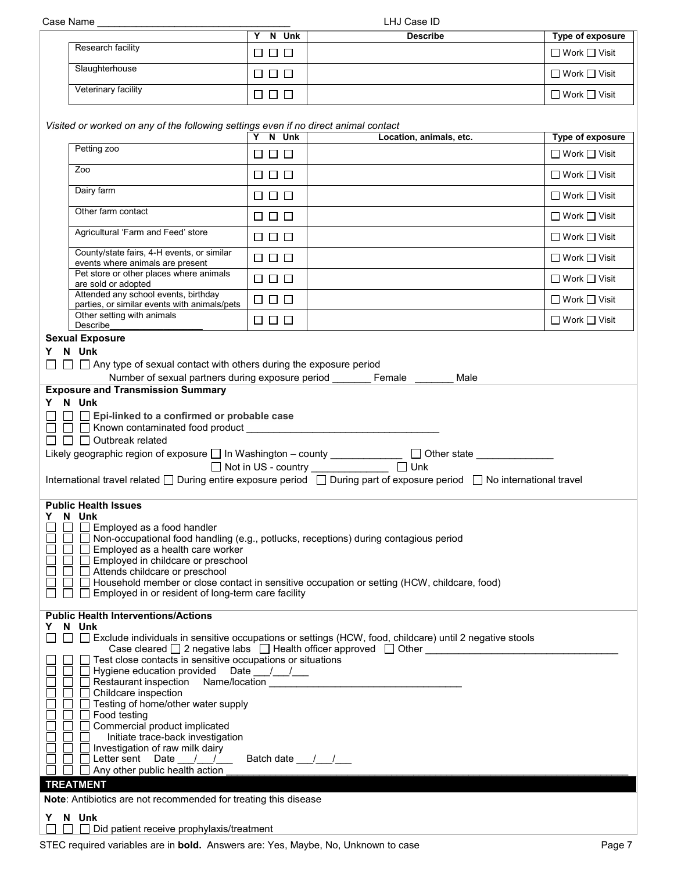| LHJ Case ID                                                                                                                                                                                                                                                                                                                                                                                                                                                                                                                                                                                                                                                                                                |                                                                                                                                                |                      |                         |                          |  |  |
|------------------------------------------------------------------------------------------------------------------------------------------------------------------------------------------------------------------------------------------------------------------------------------------------------------------------------------------------------------------------------------------------------------------------------------------------------------------------------------------------------------------------------------------------------------------------------------------------------------------------------------------------------------------------------------------------------------|------------------------------------------------------------------------------------------------------------------------------------------------|----------------------|-------------------------|--------------------------|--|--|
|                                                                                                                                                                                                                                                                                                                                                                                                                                                                                                                                                                                                                                                                                                            |                                                                                                                                                | Y N Unk              | <b>Describe</b>         | Type of exposure         |  |  |
|                                                                                                                                                                                                                                                                                                                                                                                                                                                                                                                                                                                                                                                                                                            | Research facility                                                                                                                              | $\Box$ $\Box$ $\Box$ |                         | $\Box$ Work $\Box$ Visit |  |  |
|                                                                                                                                                                                                                                                                                                                                                                                                                                                                                                                                                                                                                                                                                                            | Slaughterhouse                                                                                                                                 | $\Box$ $\Box$ $\Box$ |                         | $\Box$ Work $\Box$ Visit |  |  |
|                                                                                                                                                                                                                                                                                                                                                                                                                                                                                                                                                                                                                                                                                                            | Veterinary facility                                                                                                                            | $\Box$ $\Box$ $\Box$ |                         | $\Box$ Work $\Box$ Visit |  |  |
|                                                                                                                                                                                                                                                                                                                                                                                                                                                                                                                                                                                                                                                                                                            | Visited or worked on any of the following settings even if no direct animal contact                                                            |                      |                         |                          |  |  |
|                                                                                                                                                                                                                                                                                                                                                                                                                                                                                                                                                                                                                                                                                                            | Petting zoo                                                                                                                                    | Y N Unk              | Location, animals, etc. | Type of exposure         |  |  |
|                                                                                                                                                                                                                                                                                                                                                                                                                                                                                                                                                                                                                                                                                                            | Zoo                                                                                                                                            | $\Box$ $\Box$ $\Box$ |                         | $\Box$ Work $\Box$ Visit |  |  |
|                                                                                                                                                                                                                                                                                                                                                                                                                                                                                                                                                                                                                                                                                                            |                                                                                                                                                | $\Box$ $\Box$        |                         | $\Box$ Work $\Box$ Visit |  |  |
|                                                                                                                                                                                                                                                                                                                                                                                                                                                                                                                                                                                                                                                                                                            | Dairy farm                                                                                                                                     | $\Box$ $\Box$ $\Box$ |                         | $\Box$ Work $\Box$ Visit |  |  |
|                                                                                                                                                                                                                                                                                                                                                                                                                                                                                                                                                                                                                                                                                                            | Other farm contact                                                                                                                             | $\Box$ $\Box$ $\Box$ |                         | $\Box$ Work $\Box$ Visit |  |  |
|                                                                                                                                                                                                                                                                                                                                                                                                                                                                                                                                                                                                                                                                                                            | Agricultural 'Farm and Feed' store                                                                                                             | $\Box$ $\Box$ $\Box$ |                         | □ Work □ Visit           |  |  |
|                                                                                                                                                                                                                                                                                                                                                                                                                                                                                                                                                                                                                                                                                                            | County/state fairs, 4-H events, or similar<br>events where animals are present                                                                 | $\Box$ $\Box$ $\Box$ |                         | $\Box$ Work $\Box$ Visit |  |  |
|                                                                                                                                                                                                                                                                                                                                                                                                                                                                                                                                                                                                                                                                                                            | Pet store or other places where animals<br>are sold or adopted                                                                                 | $\Box$ $\Box$        |                         | $\Box$ Work $\Box$ Visit |  |  |
|                                                                                                                                                                                                                                                                                                                                                                                                                                                                                                                                                                                                                                                                                                            | Attended any school events, birthday<br>parties, or similar events with animals/pets                                                           | $\Box$ $\Box$ $\Box$ |                         | $\Box$ Work $\Box$ Visit |  |  |
|                                                                                                                                                                                                                                                                                                                                                                                                                                                                                                                                                                                                                                                                                                            | Other setting with animals<br>Describe                                                                                                         | $\Box$ $\Box$ $\Box$ |                         | □ Work □ Visit           |  |  |
|                                                                                                                                                                                                                                                                                                                                                                                                                                                                                                                                                                                                                                                                                                            | <b>Sexual Exposure</b>                                                                                                                         |                      |                         |                          |  |  |
|                                                                                                                                                                                                                                                                                                                                                                                                                                                                                                                                                                                                                                                                                                            | Y N Unk<br>$\Box$ Any type of sexual contact with others during the exposure period<br>Number of sexual partners during exposure period Female |                      | Male                    |                          |  |  |
|                                                                                                                                                                                                                                                                                                                                                                                                                                                                                                                                                                                                                                                                                                            | <b>Exposure and Transmission Summary</b><br>Y N Unk                                                                                            |                      |                         |                          |  |  |
| $\Box$ Epi-linked to a confirmed or probable case<br>□ □ N Known contaminated food product __________<br>$\Box$ $\Box$ Outbreak related<br>Likely geographic region of exposure □ In Washington - county _________________ □ Other state ___________                                                                                                                                                                                                                                                                                                                                                                                                                                                       |                                                                                                                                                |                      |                         |                          |  |  |
|                                                                                                                                                                                                                                                                                                                                                                                                                                                                                                                                                                                                                                                                                                            | International travel related □ During entire exposure period □ During part of exposure period □ No international travel                        |                      |                         |                          |  |  |
| <b>Public Health Issues</b><br>N Unk<br>Y.<br>Employed as a food handler<br>$\Box$ Non-occupational food handling (e.g., potlucks, receptions) during contagious period<br>$\Box$ Employed as a health care worker<br>Employed in childcare or preschool<br>$\Box$ Attends childcare or preschool<br>□ Household member or close contact in sensitive occupation or setting (HCW, childcare, food)<br>$\Box$ Employed in or resident of long-term care facility                                                                                                                                                                                                                                            |                                                                                                                                                |                      |                         |                          |  |  |
|                                                                                                                                                                                                                                                                                                                                                                                                                                                                                                                                                                                                                                                                                                            | <b>Public Health Interventions/Actions</b>                                                                                                     |                      |                         |                          |  |  |
| Y                                                                                                                                                                                                                                                                                                                                                                                                                                                                                                                                                                                                                                                                                                          | N Unk<br>□ Exclude individuals in sensitive occupations or settings (HCW, food, childcare) until 2 negative stools<br>$\Box$                   |                      |                         |                          |  |  |
| Case cleared $\square$ 2 negative labs $\square$ Health officer approved $\square$ Other $\square$<br>$\Box$ Test close contacts in sensitive occupations or situations<br>□ Hygiene education provided Date __/__/__<br>Restaurant inspection Name/location Manual According Restaurance Control of Restaurance Control of Restaurance<br>$\Box$ Childcare inspection<br>$\Box$ Testing of home/other water supply<br>$\Box$ Food testing<br>□ Commercial product implicated<br>Initiate trace-back investigation<br>$\Box$<br>$\Box$ Investigation of raw milk dairy<br>$\Box$ Letter sent Date $\Box$<br>Batch date $\frac{1}{\sqrt{1-\frac{1}{2}}}$<br>$\Box$ Any other public health action<br>$\Box$ |                                                                                                                                                |                      |                         |                          |  |  |
| <b>TREATMENT</b><br>Note: Antibiotics are not recommended for treating this disease                                                                                                                                                                                                                                                                                                                                                                                                                                                                                                                                                                                                                        |                                                                                                                                                |                      |                         |                          |  |  |
|                                                                                                                                                                                                                                                                                                                                                                                                                                                                                                                                                                                                                                                                                                            | Y N Unk                                                                                                                                        |                      |                         |                          |  |  |
|                                                                                                                                                                                                                                                                                                                                                                                                                                                                                                                                                                                                                                                                                                            | $\Box$ Did patient receive prophylaxis/treatment                                                                                               |                      |                         |                          |  |  |